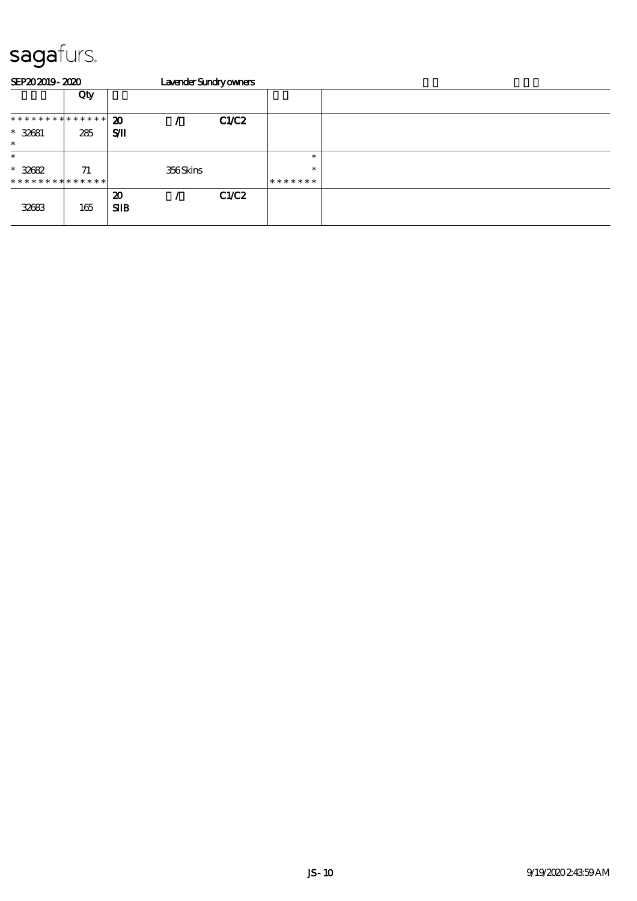| SEP202019-2020                           |     |                                    | Lavender Sundryowners |       |                   |  |
|------------------------------------------|-----|------------------------------------|-----------------------|-------|-------------------|--|
|                                          | Qty |                                    |                       |       |                   |  |
| **************                           |     | $\boldsymbol{\mathbf{z}}$          |                       | C1/C2 |                   |  |
| $* 32681$<br>$\ast$                      | 285 | SЛ                                 |                       |       |                   |  |
| $\ast$                                   |     |                                    |                       |       | $\ast$            |  |
| $* 32682$<br>* * * * * * * * * * * * * * | 71  |                                    | 356Skins              |       | $\ast$<br>******* |  |
| 32683                                    | 165 | $\boldsymbol{\mathfrak{D}}$<br>SIB |                       | C1/C2 |                   |  |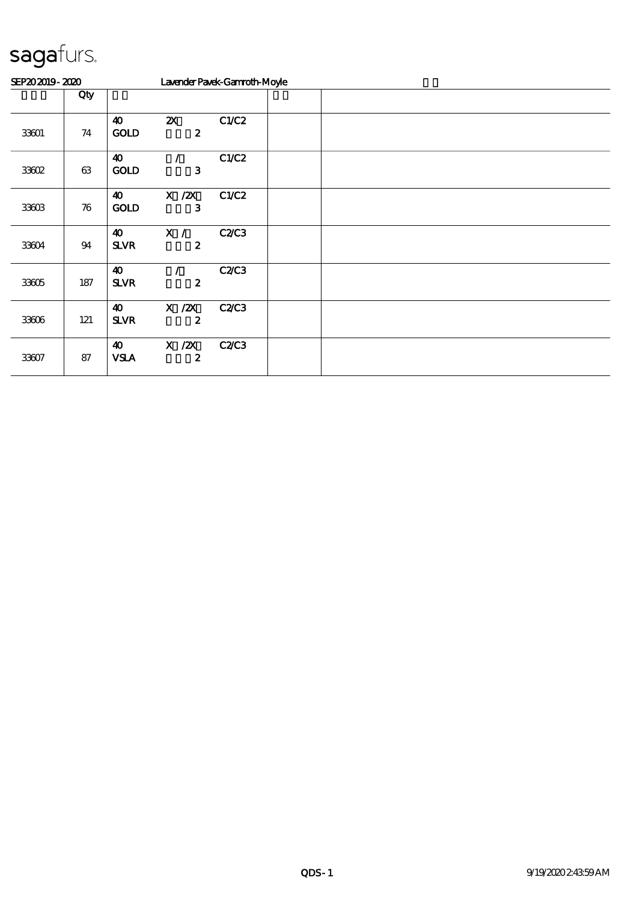| SEP202019-2020 |                    |                                      |                                               | Lavender Pavek-Gannoth-Moyle |  |  |  |
|----------------|--------------------|--------------------------------------|-----------------------------------------------|------------------------------|--|--|--|
|                | Qty                |                                      |                                               |                              |  |  |  |
| 33601          | 74                 | $\boldsymbol{\omega}$<br><b>GOLD</b> | $\boldsymbol{\mathsf{Z}}$<br>$\boldsymbol{z}$ | C1/C2                        |  |  |  |
| 33602          | 63                 | $\boldsymbol{\omega}$<br><b>GOLD</b> | 3                                             | C1/C2                        |  |  |  |
| 33603          | $\boldsymbol{\pi}$ | $\boldsymbol{\omega}$<br><b>GOLD</b> | $X$ / $ZX$<br>3                               | C1/C2                        |  |  |  |
| 33604          | 94                 | $\boldsymbol{\omega}$<br><b>SLVR</b> | X /<br>$\boldsymbol{z}$                       | C2C3                         |  |  |  |
| 33605          | 187                | $\boldsymbol{\omega}$<br><b>SLVR</b> | $\boldsymbol{z}$                              | C2C3                         |  |  |  |
| 33606          | 121                | $\boldsymbol{\omega}$<br><b>SLVR</b> | $X$ / $ZX$<br>$\boldsymbol{z}$                | C2C3                         |  |  |  |
| 33607          | 87                 | $\boldsymbol{\omega}$<br><b>VSLA</b> | $X$ / $ZX$<br>$\boldsymbol{z}$                | C2C3                         |  |  |  |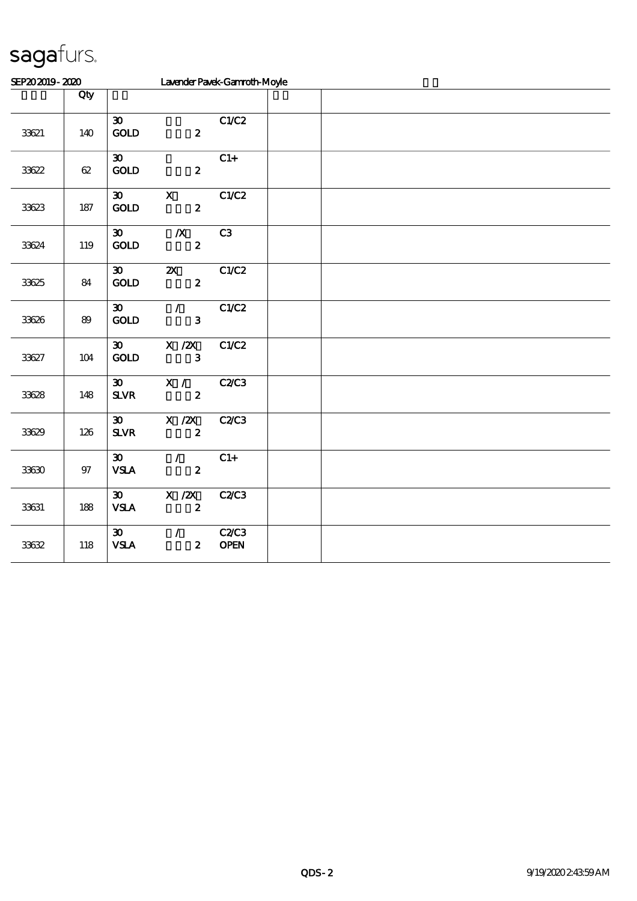| SEP202019-2020 |                |                                                         | Lavender Pavek-Gannoth-Moyle                  |                             |  |  |  |
|----------------|----------------|---------------------------------------------------------|-----------------------------------------------|-----------------------------|--|--|--|
|                | Qty            |                                                         |                                               |                             |  |  |  |
| 33621          | 140            | $\boldsymbol{\mathfrak{D}}$<br>$\mathbf{GOLD}$          | $\boldsymbol{z}$                              | C1/C2                       |  |  |  |
| 33622          | $62\,$         | $\boldsymbol{\mathfrak{D}}$<br>$\mathbf{GOD}$           | $\boldsymbol{2}$                              | $C1+$                       |  |  |  |
| 33623          | 187            | $\boldsymbol{\mathfrak{D}}$<br><b>GOLD</b>              | $\mathbf{X}$<br>$\boldsymbol{z}$              | C1/C2                       |  |  |  |
| 33624          | 119            | $\boldsymbol{\mathfrak{D}}$<br>GOLD                     | $\boldsymbol{X}$<br>$\boldsymbol{z}$          | C3                          |  |  |  |
| 33625          | 84             | $\boldsymbol{\mathfrak{D}}$<br>GOLD                     | $\boldsymbol{\mathsf{Z}}$<br>$\boldsymbol{z}$ | C1/C2                       |  |  |  |
| 33626          | $8\hskip-2pt9$ | $\boldsymbol{\mathfrak{D}}$<br>GOLD                     | $\overline{7}$<br>$\mathbf{3}$                | C1/C2                       |  |  |  |
| 33627          | $104$          | $\boldsymbol{\mathfrak{D}}$<br>$\mathop{\mathrm{GOD}}$  | $X$ / $ZX$<br>$\mathbf{3}$                    | C1/C2                       |  |  |  |
| 33628          | 148            | $\boldsymbol{\mathfrak{D}}$<br>$S\!L\!V\!R$             | X /<br>$\mathbf{z}$                           | <b>C2/C3</b>                |  |  |  |
| 33629          | 126            | $\boldsymbol{\mathfrak{B}}$<br>${\bf S\!L}\!{\bf V\!R}$ | $\overline{X}$ /2X<br>$\boldsymbol{z}$        | <b>C2/C3</b>                |  |  |  |
| 33630          | $97\,$         | $\boldsymbol{\mathfrak{D}}$<br><b>VSLA</b>              | $\mathcal{L}$<br>$\boldsymbol{z}$             | $C1+$                       |  |  |  |
| 33631          | 188            | $\boldsymbol{\mathfrak{D}}$<br><b>VSLA</b>              | $X$ / $ZX$<br>$\boldsymbol{z}$                | <b>C2/C3</b>                |  |  |  |
| 33632          | 118            | $\boldsymbol{\mathfrak{D}}$<br>${\bf VSA}$              | $\mathcal{L}$<br>$\boldsymbol{z}$             | <b>C2/C3</b><br><b>OPEN</b> |  |  |  |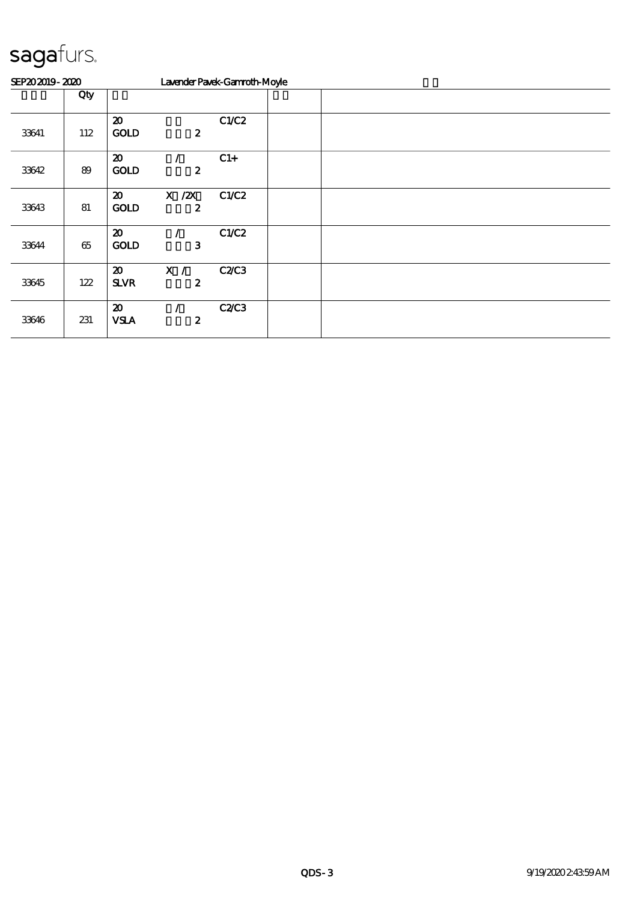| SEP202019-2020 |     |                                            |                                | Lavender Pavek-Gannoth-Moyle |  |  |  |  |
|----------------|-----|--------------------------------------------|--------------------------------|------------------------------|--|--|--|--|
|                | Qty |                                            |                                |                              |  |  |  |  |
| 33641          | 112 | $\boldsymbol{\mathfrak{D}}$<br><b>GOLD</b> | $\boldsymbol{z}$               | C1/C2                        |  |  |  |  |
| 33642          | 89  | $\boldsymbol{\mathfrak{D}}$<br><b>GOLD</b> | $\boldsymbol{2}$               | $C1+$                        |  |  |  |  |
| 33643          | 81  | $\boldsymbol{\mathfrak{D}}$<br><b>GOLD</b> | $X$ / $ZX$<br>$\boldsymbol{z}$ | C1/C2                        |  |  |  |  |
| 33644          | 65  | $\boldsymbol{\mathfrak{D}}$<br><b>GOLD</b> | 3                              | C1/C2                        |  |  |  |  |
| 33645          | 122 | $\boldsymbol{\mathfrak{D}}$<br><b>SLVR</b> | X /<br>2                       | <b>C2/C3</b>                 |  |  |  |  |
| 33646          | 231 | $\boldsymbol{\mathfrak{D}}$<br><b>VSLA</b> | $\boldsymbol{2}$               | <b>C2/C3</b>                 |  |  |  |  |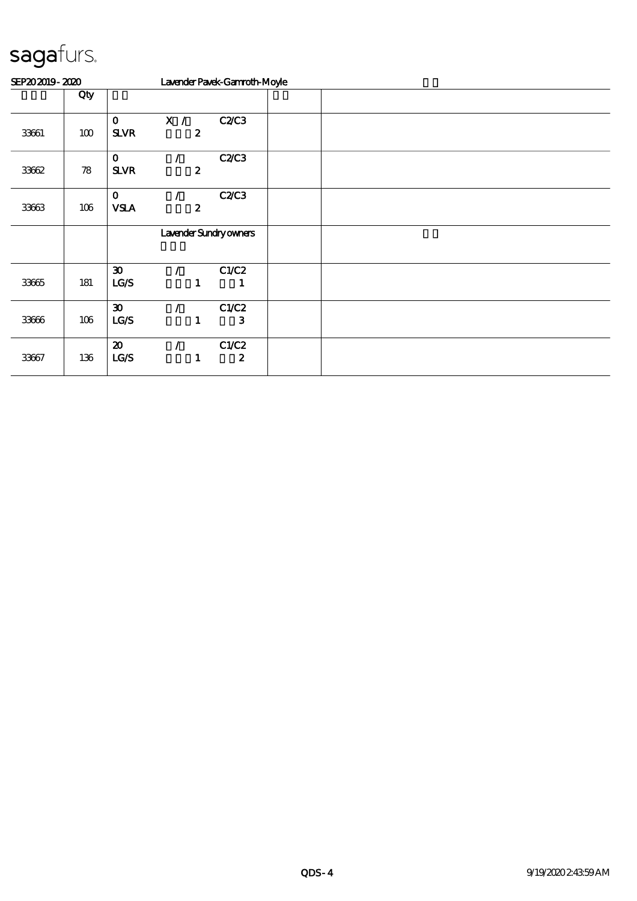| SEP202019-2020 |     |                                     |          |                  | Lavender Pavek-Gannoth-Moyle |  |  |  |  |
|----------------|-----|-------------------------------------|----------|------------------|------------------------------|--|--|--|--|
|                | Qty |                                     |          |                  |                              |  |  |  |  |
| 33661          | 100 | $\mathbf{o}$<br><b>SLVR</b>         | X /      | $\boldsymbol{2}$ | C2C3                         |  |  |  |  |
| 33662          | 78  | $\mathbf 0$<br><b>SLVR</b>          |          | $\boldsymbol{z}$ | <b>C2/C3</b>                 |  |  |  |  |
| 33663          | 106 | $\mathbf 0$<br><b>VSLA</b>          |          | $\boldsymbol{2}$ | C2C3                         |  |  |  |  |
|                |     |                                     |          |                  | Lavender Sundryowners        |  |  |  |  |
| 33665          | 181 | $\boldsymbol{\mathfrak{D}}$<br>LG/S |          | 1                | C1/C2<br>1                   |  |  |  |  |
| 33666          | 106 | $\boldsymbol{\mathfrak{D}}$<br>LG/S | $\prime$ | 1                | C1/C2<br>$\mathbf{3}$        |  |  |  |  |
| 33667          | 136 | $\boldsymbol{\mathbf{z}}$<br>LCS    |          | 1                | C1/C2<br>$\boldsymbol{2}$    |  |  |  |  |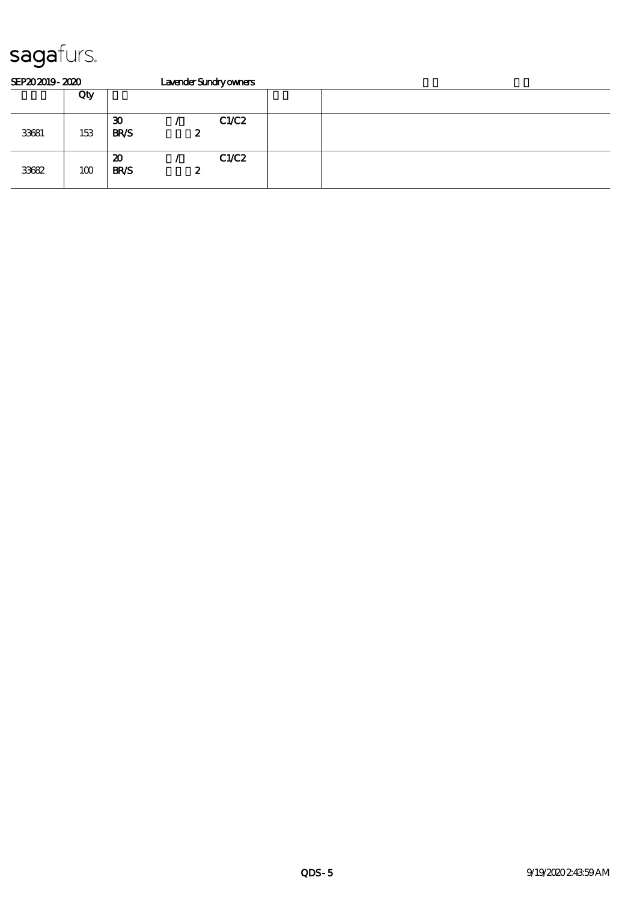| SEP202019-2020 |     |                                            |   | Lavender Sundryowners |  |  |  |  |  |
|----------------|-----|--------------------------------------------|---|-----------------------|--|--|--|--|--|
|                | Qty |                                            |   |                       |  |  |  |  |  |
| 33681          | 153 | $\boldsymbol{\mathfrak{D}}$<br><b>BR/S</b> | 2 | C1/C2                 |  |  |  |  |  |
| 33682          | 100 | $\boldsymbol{\mathfrak{D}}$<br><b>BR/S</b> | 2 | CLC2                  |  |  |  |  |  |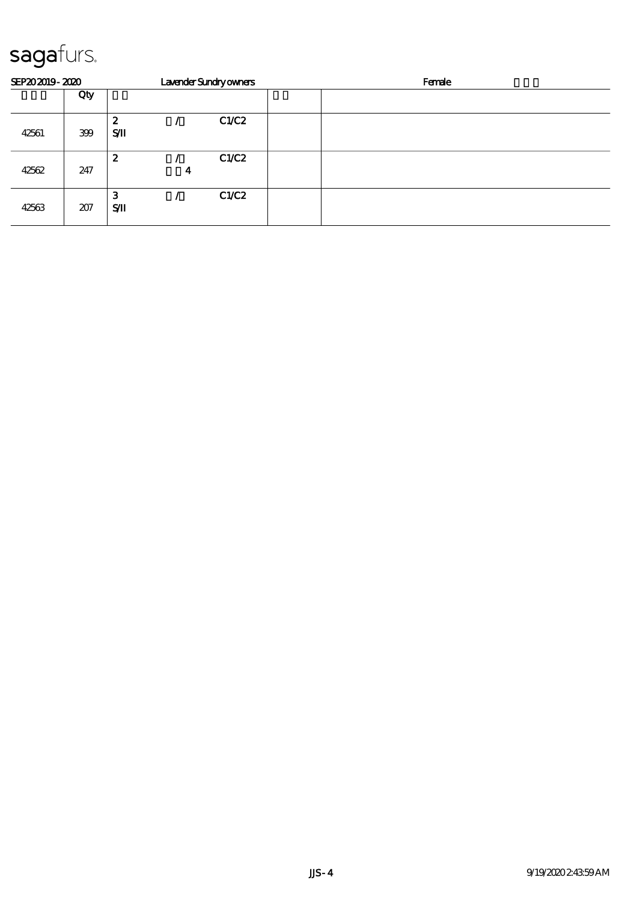| SEP202019-2020 |     |                  |   | Lavender Sundryowners | Female |
|----------------|-----|------------------|---|-----------------------|--------|
|                | Qty |                  |   |                       |        |
| 42561          | 399 | 2<br>SЛ          |   | C1/C2                 |        |
| 42562          | 247 | $\boldsymbol{z}$ | 4 | C1/C2                 |        |
| 42563          | 207 | 3<br>SЛ          |   | C1/C2                 |        |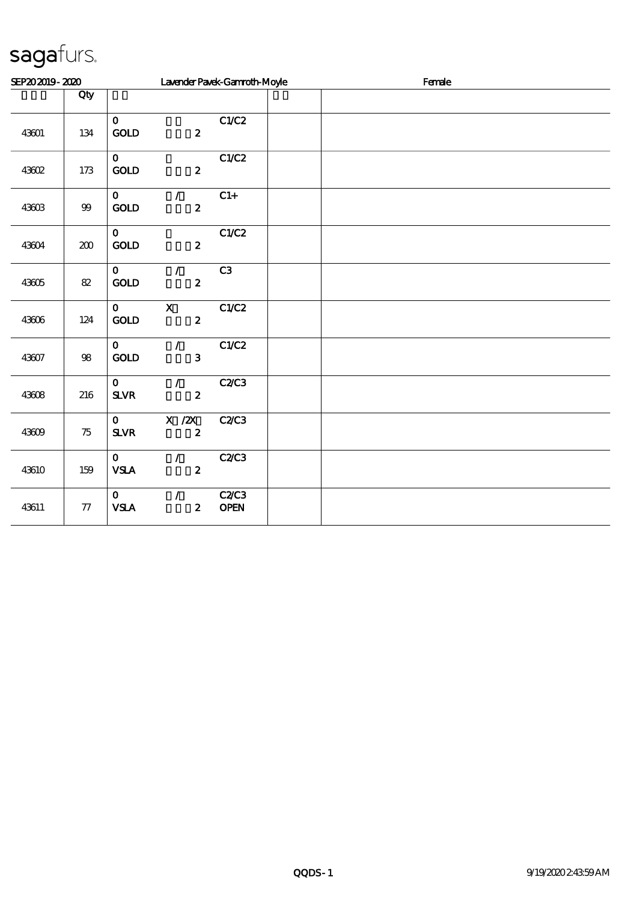| SEP202019-2020 |            |                                          | Lavender Pavek-Gannoth-Moyle      |                     | Female |  |  |  |  |
|----------------|------------|------------------------------------------|-----------------------------------|---------------------|--------|--|--|--|--|
|                | Qty        |                                          |                                   |                     |        |  |  |  |  |
| 43601          | 134        | $\mathbf{o}$<br>$\mathbf{GOLD}$          | $\boldsymbol{z}$                  | C1/C2               |        |  |  |  |  |
| 43602          | 173        | $\mathbf{o}$<br><b>GOLD</b>              | $\boldsymbol{z}$                  | C1/C2               |        |  |  |  |  |
| 43603          | $99\,$     | $\mathbf{O}$<br><b>GOLD</b>              | $\mathcal{F}$<br>$\boldsymbol{z}$ | $C1+$               |        |  |  |  |  |
| 43604          | 200        | $\mathbf{O}$<br>$\mathop{\rm GOD}$       | $\boldsymbol{z}$                  | C1/C2               |        |  |  |  |  |
| 43605          | $8\!2$     | $\mathbf{O}$<br>$\mathop{\rm GOD}$       | $\mathcal{L}$<br>$\boldsymbol{z}$ | C3                  |        |  |  |  |  |
| 43606          | 124        | $\mathbf{O}$<br>$\mathop{\rm GOD}$       | $\mathbf X$<br>$\boldsymbol{z}$   | C1/C2               |        |  |  |  |  |
| 43607          | $98\,$     | $\mathbf{O}$<br>GOLD                     | $\mathcal{L}$<br>3                | C1/C2               |        |  |  |  |  |
| 43608          | 216        | $\mathbf{O}$<br>${\bf S\!L}\!{\bf V\!R}$ | $\mathcal{F}$<br>$\boldsymbol{z}$ | C2C3                |        |  |  |  |  |
| 43609          | 75         | $\mathbf{o}$<br>${\bf S\!L}\!{\bf V\!R}$ | X / ZX<br>$\pmb{2}$               | <b>C2/C3</b>        |        |  |  |  |  |
| 43610          | 159        | $\mathbf{o}$<br>${\bf VSA}$              | $\mathcal{L}$<br>$\boldsymbol{z}$ | <b>C2/C3</b>        |        |  |  |  |  |
| 43611          | ${\bf 77}$ | $\mathbf{O}$<br><b>VSLA</b>              | $\mathcal{T}$<br>$\boldsymbol{z}$ | C2C3<br><b>OPEN</b> |        |  |  |  |  |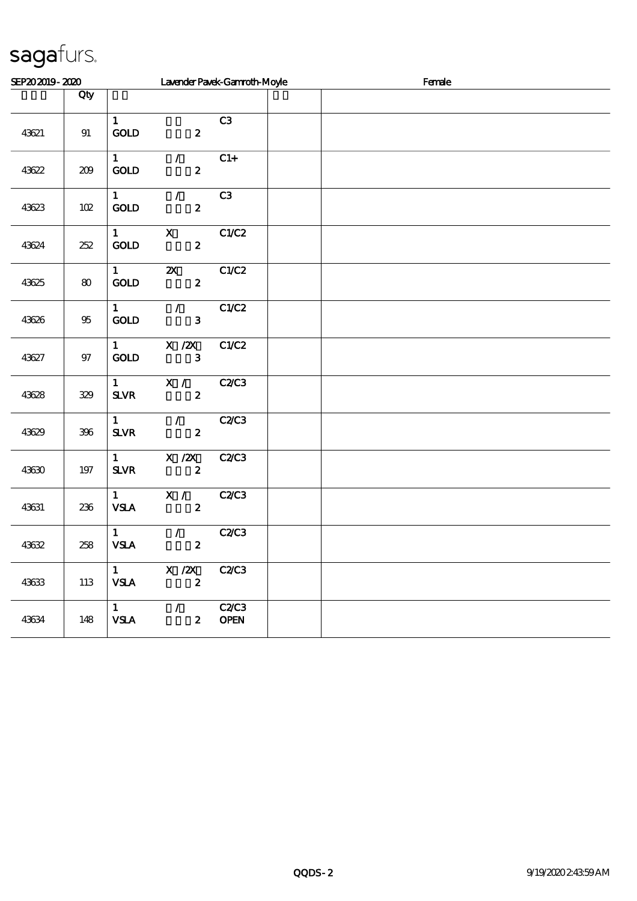| SEP202019-2020 |        |                                          | Lavender Pavek-Gannoth-Moyle                        |                             | Female |  |  |  |  |
|----------------|--------|------------------------------------------|-----------------------------------------------------|-----------------------------|--------|--|--|--|--|
|                | Qty    |                                          |                                                     |                             |        |  |  |  |  |
| 43621          | 91     | $\mathbf{1}$<br>$\operatorname{GOLD}$    | $\boldsymbol{z}$                                    | C3                          |        |  |  |  |  |
| 43622          | 209    | $\mathbf{1}$<br>GOLD                     | $\mathcal{F}$ and<br>$\boldsymbol{z}$               | $C1+$                       |        |  |  |  |  |
| 43623          | $102$  | $\mathbf{1}$<br>$\mathop{\rm GOD}$       | $\mathcal{L}$<br>$\boldsymbol{z}$                   | C3                          |        |  |  |  |  |
| 43624          | 252    | $\mathbf{1}$<br>GOLD                     | $\mathbf{x}$<br>$\boldsymbol{z}$                    | C1/C2                       |        |  |  |  |  |
| 43625          | 80     | $\mathbf{1}$<br>$\mathop{\rm GOD}$       | $\mathbf{X}$<br>$\boldsymbol{z}$                    | C1/C2                       |        |  |  |  |  |
| 43626          | $95\,$ | $\mathbf{1}$<br>GOLD                     | $\mathcal{L}$<br>$\mathbf{3}$                       | C1/C2                       |        |  |  |  |  |
| 43627          | 97     | $\mathbf{1}$<br>GOLD                     | $X \, /ZX$<br>3                                     | C1/C2                       |        |  |  |  |  |
| 43628          | 329    | $\mathbf{1}$<br>SLVR                     | X /<br>$\boldsymbol{z}$                             | C2C3                        |        |  |  |  |  |
| 43629          | 396    | $\mathbf{1}$<br>$S\!L\!V\!R$             | $\mathscr{N}$<br>$\boldsymbol{z}$                   | C2C3                        |        |  |  |  |  |
| 43630          | 197    | $\mathbf{1}$<br>${\bf S\!L}\!{\bf V\!R}$ | $X$ / $ZX$<br>$\boldsymbol{z}$                      | <b>C2/C3</b>                |        |  |  |  |  |
| 43631          | 236    | $\mathbf{1}$<br><b>VSLA</b>              | X /<br>$\boldsymbol{z}$                             | <b>C2/C3</b>                |        |  |  |  |  |
| 43632          | 258    | $\mathbf{1}$<br><b>VSLA</b>              | $\mathcal{L}$<br>$\pmb{2}$                          | C2C3                        |        |  |  |  |  |
| 43633          | 113    | $\mathbf{1}$<br><b>VSLA</b>              | $X \, /ZX$<br>$\pmb{2}$                             | <b>C2/C3</b>                |        |  |  |  |  |
| 43634          | 148    | $\mathbf{1}$<br><b>VSLA</b>              | $\mathcal{L}$ and $\mathcal{L}$<br>$\boldsymbol{z}$ | <b>C2/C3</b><br><b>OPEN</b> |        |  |  |  |  |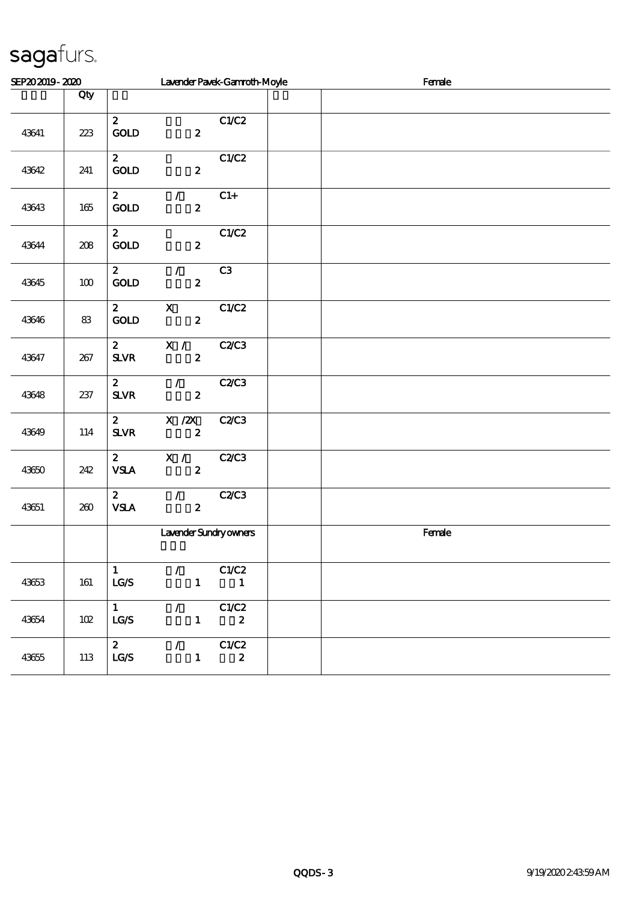| SEP202019-2020 |         |                                                          | Lavender Pavek-Gannoth-Moyle                      |  | Female |  |  |  |
|----------------|---------|----------------------------------------------------------|---------------------------------------------------|--|--------|--|--|--|
|                | Qty     |                                                          |                                                   |  |        |  |  |  |
| 43641          | 223     | $\mathbf{z}$<br>$\operatorname{GOLD}$                    | C1/C2<br>$\boldsymbol{z}$                         |  |        |  |  |  |
| 43642          | 241     | $\mathbf{z}$<br>$\mathop{\mathrm{GOD}}$                  | C1/C2<br>$\boldsymbol{z}$                         |  |        |  |  |  |
| 43643          | $165\,$ | $\mathbf{z}$<br>$\mathcal{L}$<br>$\mathop{\rm GOD}$      | $C1+$<br>$\boldsymbol{z}$                         |  |        |  |  |  |
| 43644          | 208     | $\mathbf{z}$<br>$\mathop{\rm GOD}$                       | C1/C2<br>$\boldsymbol{z}$                         |  |        |  |  |  |
| 43645          | 100     | $\mathbf{z}$<br>$\mathcal{L}$<br>$\mathop{\mathrm{GOD}}$ | C3<br>$\boldsymbol{2}$                            |  |        |  |  |  |
| 43646          | 83      | $\mathbf{x}$<br>$\mathbf{z}$<br><b>GOLD</b>              | C1/C2<br>$\boldsymbol{z}$                         |  |        |  |  |  |
| 43647          | 267     | $\mathbf{z}$<br>X /<br>$S\!L\!V\!R$                      | C2C3<br>$\boldsymbol{z}$                          |  |        |  |  |  |
| 43648          | 237     | $\boldsymbol{z}$<br>$\mathcal{L}$<br><b>SLVR</b>         | C2C3<br>$\boldsymbol{z}$                          |  |        |  |  |  |
| 43649          | 114     | $X$ / $ZX$<br>$\boldsymbol{z}$<br>$S\!L\!V\!R$           | C2C3<br>$\boldsymbol{z}$                          |  |        |  |  |  |
| 43650          | 242     | $\mathbf{z}$<br>$\overline{\mathbf{x}}$ /<br><b>VSLA</b> | <b>C2/C3</b><br>$\boldsymbol{z}$                  |  |        |  |  |  |
| 43651          | 260     | $\mathcal{T}^{\pm}$<br>$\mathbf{z}$<br>${\bf VSA}$       | C2C3<br>$\mathbf{z}$                              |  |        |  |  |  |
|                |         |                                                          | Lavender Sundryowners                             |  | Female |  |  |  |
| 43653          | 161     | $\mathbf{1}$<br>$\mathcal{L}$ and $\mathcal{L}$<br>LG/S  | C1/C2<br>$\mathbf{1}$<br>$\overline{\phantom{a}}$ |  |        |  |  |  |
| 43654          | 102     | $\mathbf{1}$<br>$\mathcal{L}$<br>LG/S                    | C1/C2<br>$\mathbf{1}$<br>$\boldsymbol{z}$         |  |        |  |  |  |
| 43655          | 113     | $\mathbf{z}$<br>$\mathcal{L} = \mathcal{L}$<br>LG/S      | C1/C2<br>$\mathbf{1}$<br>$\boldsymbol{z}$         |  |        |  |  |  |